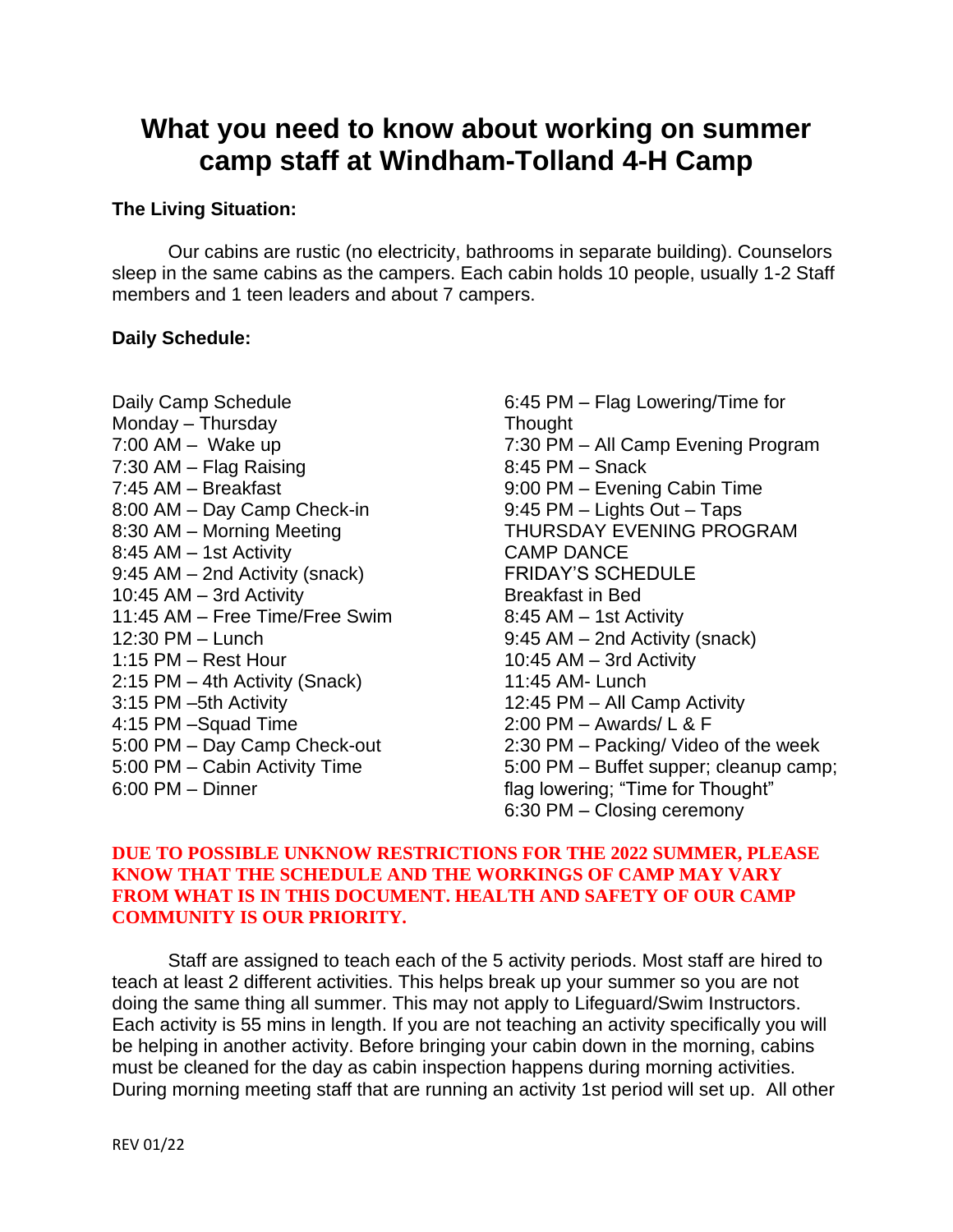# **What you need to know about working on summer camp staff at Windham-Tolland 4-H Camp**

## **The Living Situation:**

Our cabins are rustic (no electricity, bathrooms in separate building). Counselors sleep in the same cabins as the campers. Each cabin holds 10 people, usually 1-2 Staff members and 1 teen leaders and about 7 campers.

## **Daily Schedule:**

- Daily Camp Schedule Monday – Thursday  $7:00$  AM – Wake up 7:30 AM – Flag Raising 7:45 AM – Breakfast 8:00 AM – Day Camp Check-in 8:30 AM – Morning Meeting 8:45 AM – 1st Activity 9:45 AM – 2nd Activity (snack) 10:45 AM – 3rd Activity 11:45 AM – Free Time/Free Swim 12:30 PM – Lunch 1:15 PM – Rest Hour 2:15 PM – 4th Activity (Snack) 3:15 PM –5th Activity 4:15 PM –Squad Time 5:00 PM – Day Camp Check-out 5:00 PM – Cabin Activity Time 6:00 PM – Dinner
- 6:45 PM Flag Lowering/Time for Thought 7:30 PM – All Camp Evening Program 8:45 PM – Snack 9:00 PM – Evening Cabin Time 9:45 PM – Lights Out – Taps THURSDAY EVENING PROGRAM CAMP DANCE FRIDAY'S SCHEDULE Breakfast in Bed 8:45 AM – 1st Activity 9:45 AM – 2nd Activity (snack) 10:45 AM – 3rd Activity 11:45 AM- Lunch 12:45 PM – All Camp Activity 2:00 PM – Awards/ L & F 2:30 PM – Packing/ Video of the week 5:00 PM – Buffet supper; cleanup camp; flag lowering; "Time for Thought" 6:30 PM – Closing ceremony

## **DUE TO POSSIBLE UNKNOW RESTRICTIONS FOR THE 2022 SUMMER, PLEASE KNOW THAT THE SCHEDULE AND THE WORKINGS OF CAMP MAY VARY FROM WHAT IS IN THIS DOCUMENT. HEALTH AND SAFETY OF OUR CAMP COMMUNITY IS OUR PRIORITY.**

Staff are assigned to teach each of the 5 activity periods. Most staff are hired to teach at least 2 different activities. This helps break up your summer so you are not doing the same thing all summer. This may not apply to Lifeguard/Swim Instructors. Each activity is 55 mins in length. If you are not teaching an activity specifically you will be helping in another activity. Before bringing your cabin down in the morning, cabins must be cleaned for the day as cabin inspection happens during morning activities. During morning meeting staff that are running an activity 1st period will set up. All other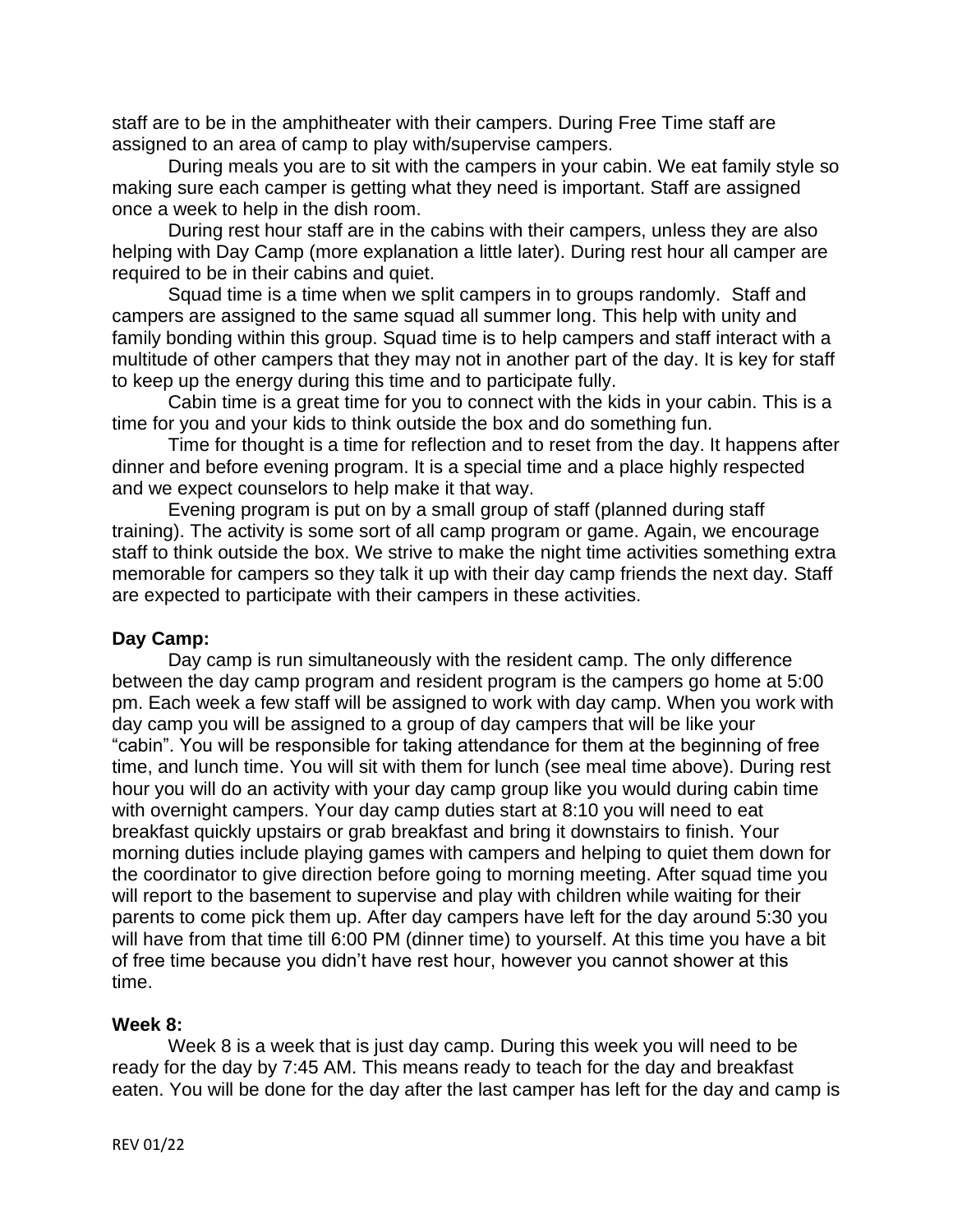staff are to be in the amphitheater with their campers. During Free Time staff are assigned to an area of camp to play with/supervise campers.

During meals you are to sit with the campers in your cabin. We eat family style so making sure each camper is getting what they need is important. Staff are assigned once a week to help in the dish room.

During rest hour staff are in the cabins with their campers, unless they are also helping with Day Camp (more explanation a little later). During rest hour all camper are required to be in their cabins and quiet.

Squad time is a time when we split campers in to groups randomly. Staff and campers are assigned to the same squad all summer long. This help with unity and family bonding within this group. Squad time is to help campers and staff interact with a multitude of other campers that they may not in another part of the day. It is key for staff to keep up the energy during this time and to participate fully.

Cabin time is a great time for you to connect with the kids in your cabin. This is a time for you and your kids to think outside the box and do something fun.

Time for thought is a time for reflection and to reset from the day. It happens after dinner and before evening program. It is a special time and a place highly respected and we expect counselors to help make it that way.

Evening program is put on by a small group of staff (planned during staff training). The activity is some sort of all camp program or game. Again, we encourage staff to think outside the box. We strive to make the night time activities something extra memorable for campers so they talk it up with their day camp friends the next day. Staff are expected to participate with their campers in these activities.

# **Day Camp:**

Day camp is run simultaneously with the resident camp. The only difference between the day camp program and resident program is the campers go home at 5:00 pm. Each week a few staff will be assigned to work with day camp. When you work with day camp you will be assigned to a group of day campers that will be like your "cabin". You will be responsible for taking attendance for them at the beginning of free time, and lunch time. You will sit with them for lunch (see meal time above). During rest hour you will do an activity with your day camp group like you would during cabin time with overnight campers. Your day camp duties start at 8:10 you will need to eat breakfast quickly upstairs or grab breakfast and bring it downstairs to finish. Your morning duties include playing games with campers and helping to quiet them down for the coordinator to give direction before going to morning meeting. After squad time you will report to the basement to supervise and play with children while waiting for their parents to come pick them up. After day campers have left for the day around 5:30 you will have from that time till 6:00 PM (dinner time) to yourself. At this time you have a bit of free time because you didn't have rest hour, however you cannot shower at this time.

## **Week 8:**

Week 8 is a week that is just day camp. During this week you will need to be ready for the day by 7:45 AM. This means ready to teach for the day and breakfast eaten. You will be done for the day after the last camper has left for the day and camp is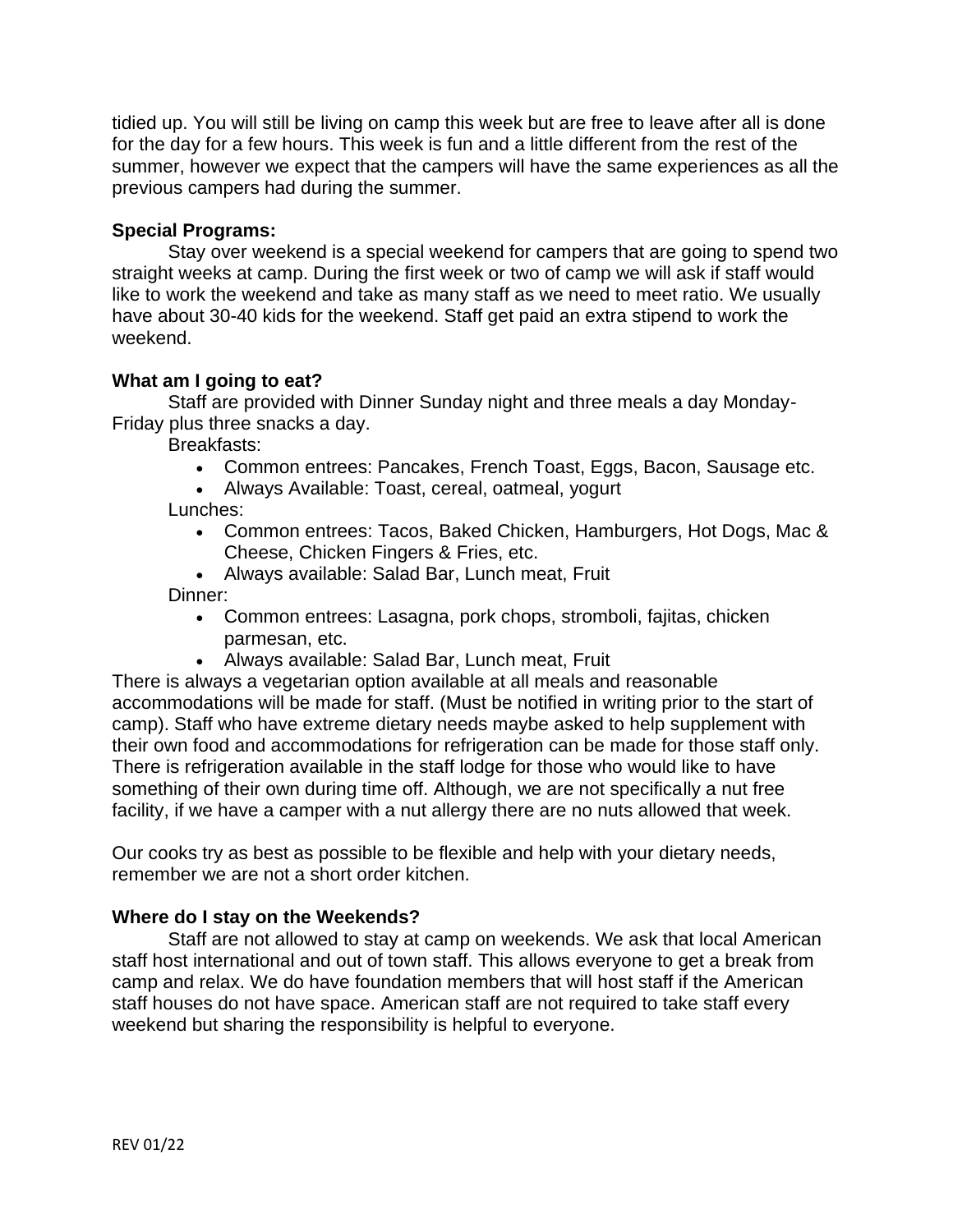tidied up. You will still be living on camp this week but are free to leave after all is done for the day for a few hours. This week is fun and a little different from the rest of the summer, however we expect that the campers will have the same experiences as all the previous campers had during the summer.

# **Special Programs:**

Stay over weekend is a special weekend for campers that are going to spend two straight weeks at camp. During the first week or two of camp we will ask if staff would like to work the weekend and take as many staff as we need to meet ratio. We usually have about 30-40 kids for the weekend. Staff get paid an extra stipend to work the weekend.

# **What am I going to eat?**

Staff are provided with Dinner Sunday night and three meals a day Monday-Friday plus three snacks a day.

Breakfasts:

- Common entrees: Pancakes, French Toast, Eggs, Bacon, Sausage etc.
- Always Available: Toast, cereal, oatmeal, yogurt

Lunches:

- Common entrees: Tacos, Baked Chicken, Hamburgers, Hot Dogs, Mac & Cheese, Chicken Fingers & Fries, etc.
- Always available: Salad Bar, Lunch meat, Fruit Dinner:
	- Common entrees: Lasagna, pork chops, stromboli, fajitas, chicken parmesan, etc.
	- Always available: Salad Bar, Lunch meat, Fruit

There is always a vegetarian option available at all meals and reasonable accommodations will be made for staff. (Must be notified in writing prior to the start of camp). Staff who have extreme dietary needs maybe asked to help supplement with their own food and accommodations for refrigeration can be made for those staff only. There is refrigeration available in the staff lodge for those who would like to have something of their own during time off. Although, we are not specifically a nut free facility, if we have a camper with a nut allergy there are no nuts allowed that week.

Our cooks try as best as possible to be flexible and help with your dietary needs, remember we are not a short order kitchen.

# **Where do I stay on the Weekends?**

Staff are not allowed to stay at camp on weekends. We ask that local American staff host international and out of town staff. This allows everyone to get a break from camp and relax. We do have foundation members that will host staff if the American staff houses do not have space. American staff are not required to take staff every weekend but sharing the responsibility is helpful to everyone.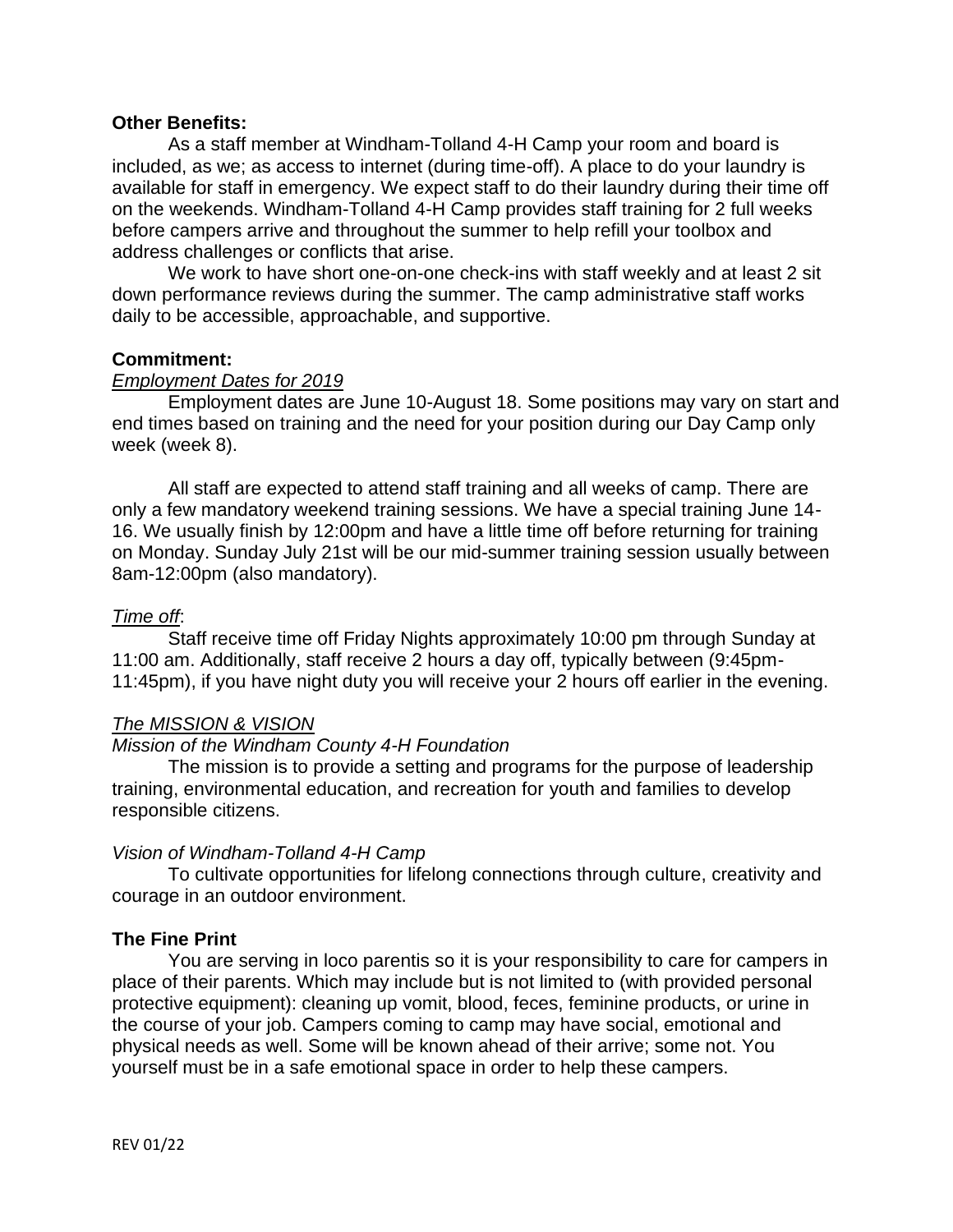#### **Other Benefits:**

As a staff member at Windham-Tolland 4-H Camp your room and board is included, as we; as access to internet (during time-off). A place to do your laundry is available for staff in emergency. We expect staff to do their laundry during their time off on the weekends. Windham-Tolland 4-H Camp provides staff training for 2 full weeks before campers arrive and throughout the summer to help refill your toolbox and address challenges or conflicts that arise.

We work to have short one-on-one check-ins with staff weekly and at least 2 sit down performance reviews during the summer. The camp administrative staff works daily to be accessible, approachable, and supportive.

#### **Commitment:**

#### *Employment Dates for 2019*

Employment dates are June 10-August 18. Some positions may vary on start and end times based on training and the need for your position during our Day Camp only week (week 8).

All staff are expected to attend staff training and all weeks of camp. There are only a few mandatory weekend training sessions. We have a special training June 14- 16. We usually finish by 12:00pm and have a little time off before returning for training on Monday. Sunday July 21st will be our mid-summer training session usually between 8am-12:00pm (also mandatory).

#### *Time off*:

Staff receive time off Friday Nights approximately 10:00 pm through Sunday at 11:00 am. Additionally, staff receive 2 hours a day off, typically between (9:45pm-11:45pm), if you have night duty you will receive your 2 hours off earlier in the evening.

## *The MISSION & VISION*

#### *Mission of the Windham County 4-H Foundation*

The mission is to provide a setting and programs for the purpose of leadership training, environmental education, and recreation for youth and families to develop responsible citizens.

#### *Vision of Windham-Tolland 4-H Camp*

To cultivate opportunities for lifelong connections through culture, creativity and courage in an outdoor environment.

#### **The Fine Print**

You are serving in loco parentis so it is your responsibility to care for campers in place of their parents. Which may include but is not limited to (with provided personal protective equipment): cleaning up vomit, blood, feces, feminine products, or urine in the course of your job. Campers coming to camp may have social, emotional and physical needs as well. Some will be known ahead of their arrive; some not. You yourself must be in a safe emotional space in order to help these campers.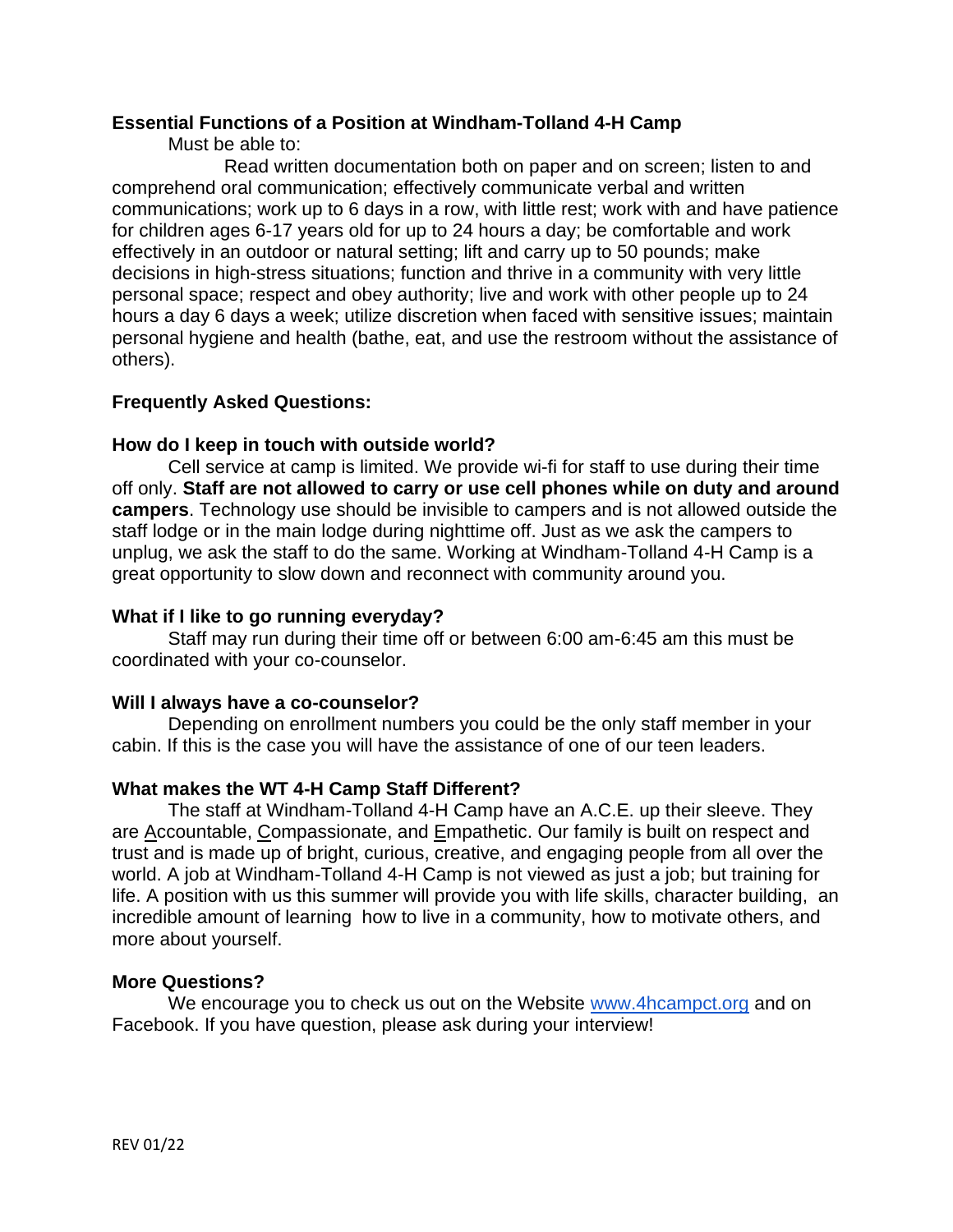## **Essential Functions of a Position at Windham-Tolland 4-H Camp**

Must be able to:

Read written documentation both on paper and on screen; listen to and comprehend oral communication; effectively communicate verbal and written communications; work up to 6 days in a row, with little rest; work with and have patience for children ages 6-17 years old for up to 24 hours a day; be comfortable and work effectively in an outdoor or natural setting; lift and carry up to 50 pounds; make decisions in high-stress situations; function and thrive in a community with very little personal space; respect and obey authority; live and work with other people up to 24 hours a day 6 days a week; utilize discretion when faced with sensitive issues; maintain personal hygiene and health (bathe, eat, and use the restroom without the assistance of others).

# **Frequently Asked Questions:**

# **How do I keep in touch with outside world?**

Cell service at camp is limited. We provide wi-fi for staff to use during their time off only. **Staff are not allowed to carry or use cell phones while on duty and around campers**. Technology use should be invisible to campers and is not allowed outside the staff lodge or in the main lodge during nighttime off. Just as we ask the campers to unplug, we ask the staff to do the same. Working at Windham-Tolland 4-H Camp is a great opportunity to slow down and reconnect with community around you.

## **What if I like to go running everyday?**

Staff may run during their time off or between 6:00 am-6:45 am this must be coordinated with your co-counselor.

## **Will I always have a co-counselor?**

Depending on enrollment numbers you could be the only staff member in your cabin. If this is the case you will have the assistance of one of our teen leaders.

# **What makes the WT 4-H Camp Staff Different?**

The staff at Windham-Tolland 4-H Camp have an A.C.E. up their sleeve. They are Accountable, Compassionate, and Empathetic. Our family is built on respect and trust and is made up of bright, curious, creative, and engaging people from all over the world. A job at Windham-Tolland 4-H Camp is not viewed as just a job; but training for life. A position with us this summer will provide you with life skills, character building, an incredible amount of learning how to live in a community, how to motivate others, and more about yourself.

# **More Questions?**

We encourage you to check us out on the Website [www.4hcampct.org](http://www.4hcampct.org/) and on Facebook. If you have question, please ask during your interview!